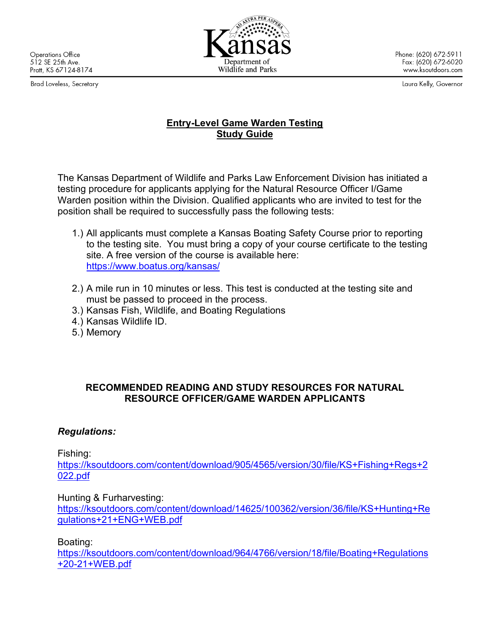**Operations Office** 512 SE 25th Ave. Pratt, KS 67124-8174

Brad Loveless, Secretary



Phone: (620) 672-5911 Fax: (620) 672-6020 www.ksoutdoors.com

Laura Kelly, Governor

## **Entry-Level Game Warden Testing Study Guide**

The Kansas Department of Wildlife and Parks Law Enforcement Division has initiated a testing procedure for applicants applying for the Natural Resource Officer I/Game Warden position within the Division. Qualified applicants who are invited to test for the position shall be required to successfully pass the following tests:

- 1.) All applicants must complete a Kansas Boating Safety Course prior to reporting to the testing site. You must bring a copy of your course certificate to the testing site. A free version of the course is available here: <https://www.boatus.org/kansas/>
- 2.) A mile run in 10 minutes or less. This test is conducted at the testing site and must be passed to proceed in the process.
- 3.) Kansas Fish, Wildlife, and Boating Regulations
- 4.) Kansas Wildlife ID.
- 5.) Memory

## **RECOMMENDED READING AND STUDY RESOURCES FOR NATURAL RESOURCE OFFICER/GAME WARDEN APPLICANTS**

## *Regulations:*

Fishing:

[https://ksoutdoors.com/content/download/905/4565/version/30/file/KS+Fishing+Regs+2](https://ksoutdoors.com/content/download/905/4565/version/30/file/KS+Fishing+Regs+2022.pdf) [022.pdf](https://ksoutdoors.com/content/download/905/4565/version/30/file/KS+Fishing+Regs+2022.pdf)

Hunting & Furharvesting:

[https://ksoutdoors.com/content/download/14625/100362/version/36/file/KS+Hunting+Re](https://ksoutdoors.com/content/download/14625/100362/version/36/file/KS+Hunting+Regulations+21+ENG+WEB.pdf) [gulations+21+ENG+WEB.pdf](https://ksoutdoors.com/content/download/14625/100362/version/36/file/KS+Hunting+Regulations+21+ENG+WEB.pdf)

Boating:

[https://ksoutdoors.com/content/download/964/4766/version/18/file/Boating+Regulations](https://ksoutdoors.com/content/download/964/4766/version/18/file/Boating+Regulations+20-21+WEB.pdf) [+20-21+WEB.pdf](https://ksoutdoors.com/content/download/964/4766/version/18/file/Boating+Regulations+20-21+WEB.pdf)